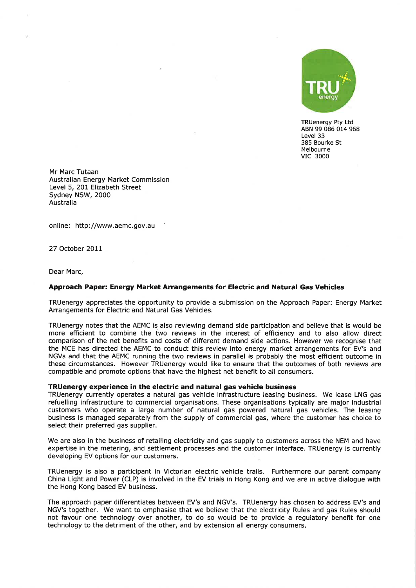

TRUenergy Pty Ltd ABN 99 086 014 968 Level 33 385 Bourke St Melbourne vlc <sup>3000</sup>

Mr Marc Tutaan Australian Energy Market Commission Level 5, 201 Elizabeth Street Sydney NSW, 2000 Australia

online: http://www.aemc.gov.au

27 October 2011

Dear Marc,

## Approach Paper: Energy Market Arrangements for Electric and Natural Gas Vehicles

TRUenergy appreciates the opportunity to provide a submission on the Approach Paper: Energy Market Arrangements for Electric and Natural Gas Vehicles.

TRUenergy notes that the AEMC is also reviewing demand side participation and believe that is would be more efficient to combine the two reviews in the interest of efficiency and to also allow direct comparison of the net benefits and costs of different demand side actions. However we recognise that the MCE has directed the AEMC to conduct this review into energy market arrangements for EV's and NGVs and that the AEMC running the two reviews in parallel is probably the most efficient outcome in these circumstances. However TRUenergy would like to ensure that the outcomes of both reviews are compatible and promote options that have the highest net benefit to all consumers.

## TRUenergy experience in the electric and natural gas vehicle business

TRUenergy currently operates a natural gas vehicle infrastructure leasing business. We lease LNG gas refuelling infrastructure to commercial organisations. These organisations typically are major industrial customers who operate a large number of natural gas powered natural gas vehicles. The leasing business is managed separately from the supply of commercial gas, where the customer has choice to select their preferred gas supplier.

We are also in the business of retailing electricity and gas supply to customers across the NEM and have expertise in the metering, and settlement processes and the customer interface. TRUenergy is currently developing EV options for our customers.

TRUenergy is also a participant in Victorian electric vehicle trails. Furthermore our parent company China Líght and Power (CLP) is involved in the EV trials in Hong Kong and we are in active dialogue with the Hong Kong based EV business.

The approach paper differentiates between EV's and NGV's. TRUenergy has chosen to address EV's and NGV's together. We want to emphasise that we believe that the electricity Rules and gas Rules should not favour one technology over another, to do so would be to provide a regulatory benefit for one technology to the detriment of the other, and by extension all energy consumers.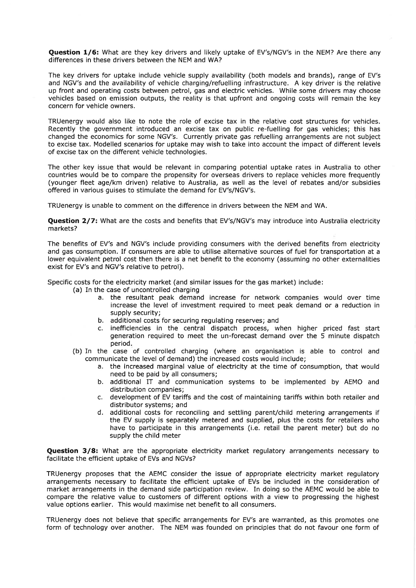Question 1/6: What are they key drivers and likely uptake of EV's/NGV's in the NEM? Are there any differences in these drivers between the NEM and WA?

The key drivers for uptake include vehicle supply availability (both models and brands), range of EV's and NGV's and the availability of vehicle charging/refuelling infrastructure. A key driver is the relative up front and operating costs between petrol, gas and electric vehicles. While some drivers may choose vehicles based on emission outputs, the reality is that upfront and ongoing costs will remain the key concern for vehicle owners.

TRUenergy would also like to note the role of excise tax in the relative cost structures for vehicles. Recently the government introduced an excise tax on public re-fuelling for gas vehicles; this has changed the economics for some NGV's. Currently private gas refuelling arrangements are not subject to excise tax. Modelled scenarios for uptake may wish to take into account the impact of different levels of excise tax on the difterent vehicle technologies.

The other key issue that would be relevant in comparing potential uptake rates in Australia to other countries would be to compare the propensity for overseas drivers to replace vehicles more frequently (younger fleet agelkm driven) relative to Australia, as well as the level of rebates and/or subsidies offered in various guises to stimulate the demand for EV's/NGV's.

TRUenergy is unable to comment on the difference in drivers between the NEM and WA.

Question 2/7: What are the costs and benefits that EV's/NGV's may introduce into Australia electricity markets?

The benefits of EV's and NGV's include providing consumers with the derived benefits from electricity and gas consumption. If consumers are able to utilise alternative sources of fuel for transportation at <sup>a</sup> lower equivalent petrol cost then there is a net benefit to the economy (assuming no other externalities exist for EV's and NGV's relative to petrol).

Specific costs for the electricity market (and similar issues for the gas market) include:

- (a) In the case of uncontrolled charging
	- a. the resultant peak demand increase for network companies would over time increase the level of investment required to meet peak demand or a reduction in supply security;
	- b. additional costs for securing regulating reserves; and
	- c. inefficiencies in the central dispatch process, when higher priced fast start generation required to meet the un-forecast demand over the 5 minute dispatch period.
- (b) In the case of controlled charging (where an organisation is able to control and communicate the level of demand) the increased costs would include;
	- a. the increased marginal value of electricity at the time of consumption, that would need to be paid by all consumers;
	- b. additional IT and communication systems to be implemented by AEMO and distribution companies;
	- c. development of EV tariffs and the cost of maintaining tarifts within both retailer and distributor systems; and
	- d. additional costs for reconciling and settling parent/child metering arrangements if the EV supply is separately metered and supplied, plus the costs for retailers who have to participate in this arrangements (i.e. retail the parent meter) but do no supply the child meter

**Question 3/8:** What are the appropriate electricity market regulatory arrangements necessary to facilitate the efficient uptake of EVs and NGVs?

TRUenergy proposes that the AEMC consider the issue of appropriate electricity market regulatory arrangements necessary to facilitate the efficient uptake of EVs be included in the consideration of market arrangements in the demand side pafticipation review. In doing so the AEMC would be able to compare the relative value to customers of different options with a view to progressing the highest value options earlier. This would maximise net benefit to all consumers.

TRUenergy does not believe that specific arrangements for EV's are warranted, as this promotes one form of technology over another. The NEM was founded on principles that do not favour one form of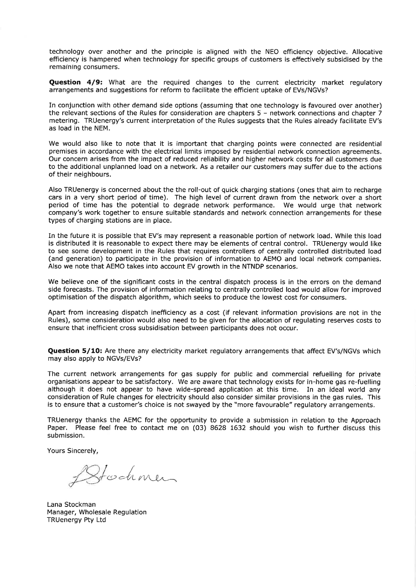technology over another and the principle is aligned with the NEO efficiency objective. Allocative efficiency is hampered when technology for specific groups of customers is effectively subsidised by the remaining consumers.

**Question 4/9:** What are the required changes to the current electricity market requiatory arrangements and suggestions for reform to facilitate the efficient uptake of EVs/NGVs?

In conjunction with other demand side options (assuming that one technology is favoured over another) the relevant sections of the Rules for consideration are chapters 5 - network connections and chapter 7 metering. TRUenergy's current interpretation of the Rules suggests that the Rules already facilitate EV's as load in the NEM.

We would also like to note that it is important that charging points were connected are residential premises in accordance with the electrical limits imposed by residential network connection agreements. Our concern arises from the impact of reduced reliability and higher network costs for all customers due to the additional unplanned load on a network. As a retailer our customers may suffer due to the actions of their neighbours.

Also TRUenergy is concerned about the the roll-out of quick charging stations (ones that aim to recharge cars in a very short period of time). The high level of current drawn from the network over a short period of time has the potential to degrade network performance. We would urge that network company's work together to ensure suitable standards and network connection arrangements for these types of charging stations are in place.

In the future it is possible that EV's may represent a reasonable portion of network load. While this load is distributed it is reasonable to expect there may be elements of central control. TRUenergy would like to see some development in the Rules that requires controllers of centrally controlled distributed load (and generation) to pafticipate in the provision of information to AEMO and local network companies. Also we note that AEMO takes into account EV growth in the NTNDP scenarios.

We believe one of the significant costs in the central dispatch process is in the errors on the demand side forecasts. The provision of information relating to centrally controlled load would allow for improved optimisation of the dispatch algorithm, which seeks to produce the lowest cost for consumers.

Apart from increasing dispatch inefficiency as a cost (if relevant information provisions are not in the Rules), some consideration would also need to be given for the allocation of regulating reserves costs to ensure that inefficient cross subsidisation between participants does not occur.

Question 5/10: Are there any electricity market regulatory arrangements that affect EV's/NGVs which may also apply to NGVs/EVs?

The current network arrangements for gas supply for public and commercial refuelling for private organisations appear to be satisfactory. We are aware that technology exists for in-home gas re-fuelling although it does not appear to have wide-spread application at this time. In an ideal world any consideration of Rule changes for electricity should also consider similar provisions in the gas rules. This is to ensure that a customer's choice is not swayed by the "more favourable" regulatory arrangements.

TRUenergy thanks the AEMC for the opportunity to provide a submission in relation to the Approach Paper. Please feel free to contact me on (03) 8628 1632 should you wish to further discuss this submission.

Yours Sincerely,

Stochmen

Lana Stockman Manager, Wholesale Regulation TRUenergy Pty Ltd